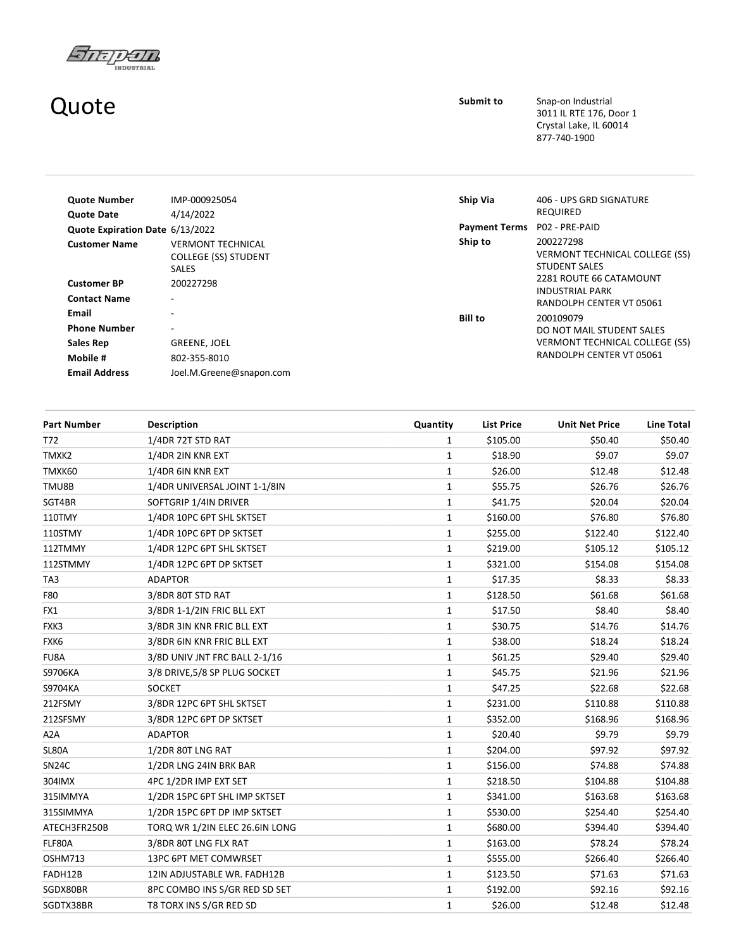

## Quote

Submit to Snap-on Industrial 3011 IL RTE 176, Door 1 Crystal Lake, IL 60014 877‐740‐1900

| <b>Quote Number</b>                       | IMP-000925054                                                           | Ship Via             | 406 - UPS GRD SIGNATURE                                                       |
|-------------------------------------------|-------------------------------------------------------------------------|----------------------|-------------------------------------------------------------------------------|
| <b>Quote Date</b>                         | 4/14/2022                                                               |                      | <b>REQUIRED</b>                                                               |
| Quote Expiration Date 6/13/2022           |                                                                         | <b>Payment Terms</b> | P02 - PRE-PAID                                                                |
| <b>Customer Name</b>                      | <b>VERMONT TECHNICAL</b><br><b>COLLEGE (SS) STUDENT</b><br><b>SALES</b> | Ship to              | 200227298<br>VERMONT TECHNICAL COLLEGE (SS)<br><b>STUDENT SALES</b>           |
| <b>Customer BP</b><br><b>Contact Name</b> | 200227298<br>$\overline{\phantom{a}}$                                   |                      | 2281 ROUTE 66 CATAMOUNT<br><b>INDUSTRIAL PARK</b><br>RANDOLPH CENTER VT 05061 |
| Email<br><b>Phone Number</b>              | ٠<br>$\overline{\phantom{a}}$                                           | <b>Bill to</b>       | 200109079<br>DO NOT MAIL STUDENT SALES                                        |
| Sales Rep                                 | GREENE, JOEL                                                            |                      | <b>VERMONT TECHNICAL COLLEGE (SS)</b>                                         |
| Mobile #                                  | 802-355-8010                                                            |                      | RANDOLPH CENTER VT 05061                                                      |
| <b>Email Address</b>                      | Joel.M.Greene@snapon.com                                                |                      |                                                                               |

| <b>Part Number</b> | <b>Description</b>             | Quantity     | <b>List Price</b> | <b>Unit Net Price</b> | Line Total |
|--------------------|--------------------------------|--------------|-------------------|-----------------------|------------|
| T72                | 1/4DR 72T STD RAT              | 1            | \$105.00          | \$50.40               | \$50.40    |
| TMXK2              | 1/4DR 2IN KNR EXT              | $\mathbf{1}$ | \$18.90           | \$9.07                | \$9.07     |
| TMXK60             | 1/4DR 6IN KNR EXT              | $\mathbf{1}$ | \$26.00           | \$12.48               | \$12.48    |
| TMU8B              | 1/4DR UNIVERSAL JOINT 1-1/8IN  | $\mathbf{1}$ | \$55.75           | \$26.76               | \$26.76    |
| SGT4BR             | SOFTGRIP 1/4IN DRIVER          | $\mathbf{1}$ | \$41.75           | \$20.04               | \$20.04    |
| 110TMY             | 1/4DR 10PC 6PT SHL SKTSET      | $\mathbf{1}$ | \$160.00          | \$76.80               | \$76.80    |
| 110STMY            | 1/4DR 10PC 6PT DP SKTSET       | 1            | \$255.00          | \$122.40              | \$122.40   |
| 112TMMY            | 1/4DR 12PC 6PT SHL SKTSET      | $\mathbf{1}$ | \$219.00          | \$105.12              | \$105.12   |
| 112STMMY           | 1/4DR 12PC 6PT DP SKTSET       | $\mathbf{1}$ | \$321.00          | \$154.08              | \$154.08   |
| TA3                | <b>ADAPTOR</b>                 | 1            | \$17.35           | \$8.33                | \$8.33     |
| F80                | 3/8DR 80T STD RAT              | $\mathbf{1}$ | \$128.50          | \$61.68               | \$61.68    |
| FX1                | 3/8DR 1-1/2IN FRIC BLL EXT     | $\mathbf{1}$ | \$17.50           | \$8.40                | \$8.40     |
| FXK3               | 3/8DR 3IN KNR FRIC BLL EXT     | $\mathbf{1}$ | \$30.75           | \$14.76               | \$14.76    |
| FXK6               | 3/8DR 6IN KNR FRIC BLL EXT     | $\mathbf{1}$ | \$38.00           | \$18.24               | \$18.24    |
| FU8A               | 3/8D UNIV JNT FRC BALL 2-1/16  | $\mathbf{1}$ | \$61.25           | \$29.40               | \$29.40    |
| S9706KA            | 3/8 DRIVE, 5/8 SP PLUG SOCKET  | $\mathbf{1}$ | \$45.75           | \$21.96               | \$21.96    |
| S9704KA            | <b>SOCKET</b>                  | $\mathbf{1}$ | \$47.25           | \$22.68               | \$22.68    |
| 212FSMY            | 3/8DR 12PC 6PT SHL SKTSET      | $\mathbf{1}$ | \$231.00          | \$110.88              | \$110.88   |
| 212SFSMY           | 3/8DR 12PC 6PT DP SKTSET       | $\mathbf{1}$ | \$352.00          | \$168.96              | \$168.96   |
| A <sub>2</sub> A   | <b>ADAPTOR</b>                 | 1            | \$20.40           | \$9.79                | \$9.79     |
| SL80A              | 1/2DR 80T LNG RAT              | $\mathbf{1}$ | \$204.00          | \$97.92               | \$97.92    |
| <b>SN24C</b>       | 1/2DR LNG 24IN BRK BAR         | $\mathbf{1}$ | \$156.00          | \$74.88               | \$74.88    |
| 304IMX             | 4PC 1/2DR IMP EXT SET          | $\mathbf{1}$ | \$218.50          | \$104.88              | \$104.88   |
| 315IMMYA           | 1/2DR 15PC 6PT SHL IMP SKTSET  | $\mathbf{1}$ | \$341.00          | \$163.68              | \$163.68   |
| 315SIMMYA          | 1/2DR 15PC 6PT DP IMP SKTSET   | $\mathbf{1}$ | \$530.00          | \$254.40              | \$254.40   |
| ATECH3FR250B       | TORQ WR 1/2IN ELEC 26.6IN LONG | $\mathbf{1}$ | \$680.00          | \$394.40              | \$394.40   |
| FLF80A             | 3/8DR 80T LNG FLX RAT          | $\mathbf{1}$ | \$163.00          | \$78.24               | \$78.24    |
| OSHM713            | 13PC 6PT MET COMWRSET          | $\mathbf{1}$ | \$555.00          | \$266.40              | \$266.40   |
| FADH12B            | 12IN ADJUSTABLE WR. FADH12B    | 1            | \$123.50          | \$71.63               | \$71.63    |
| SGDX80BR           | 8PC COMBO INS S/GR RED SD SET  | 1            | \$192.00          | \$92.16               | \$92.16    |
| SGDTX38BR          | T8 TORX INS S/GR RED SD        | $\mathbf{1}$ | \$26.00           | \$12.48               | \$12.48    |